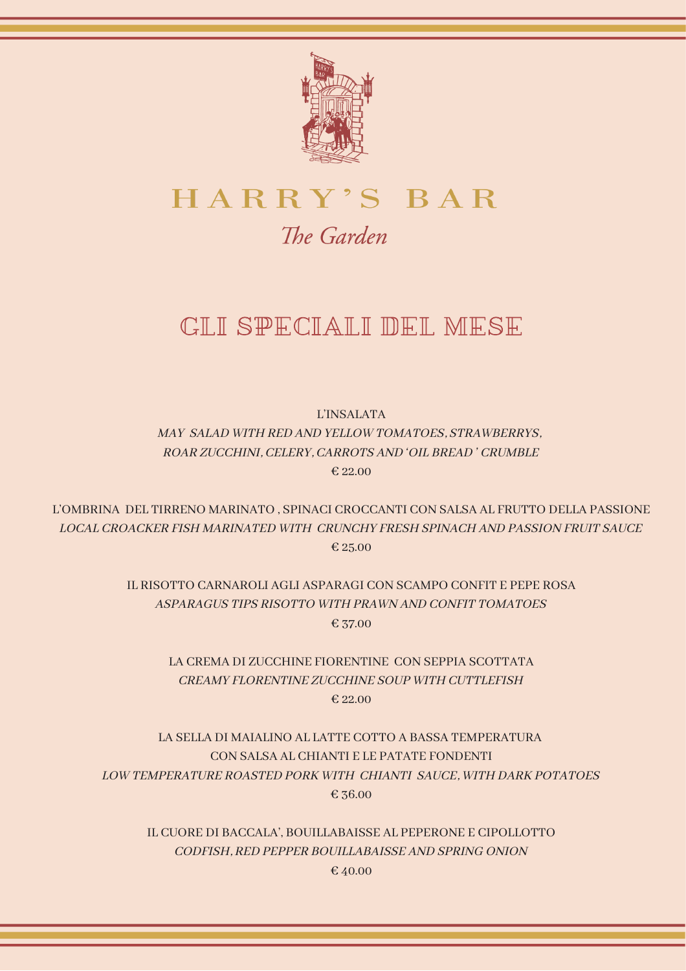

# HARRY'S BAR

# The Garden

# GLI SPECIALI DEL MESE

L'INSALATA MAY SALAD WITH RED AND YELLOW TOMATOES, STRAWBERRYS, ROAR ZUCCHINI, CELERY, CARROTS AND 'OIL BREAD ' CRUMBLE € 22.00

L'OMBRINA DEL TIRRENO MARINATO , SPINACI CROCCANTI CON SALSA AL FRUTTO DELLA PASSIONE LOCAL CROACKER FISH MARINATED WITH CRUNCHY FRESH SPINACH AND PASSION FRUIT SAUCE € 25.00

> IL RISOTTO CARNAROLI AGLI ASPARAGI CON SCAMPO CONFIT E PEPE ROSA ASPARAGUS TIPS RISOTTO WITH PRAWN AND CONFIT TOMATOES € 37.00

LA CREMA DI ZUCCHINE FIORENTINE CON SEPPIA SCOTTATA CREAMY FLORENTINE ZUCCHINE SOUP WITH CUTTLEFISH € 22.00

LA SELLA DI MAIALINO AL LATTE COTTO A BASSA TEMPERATURA CON SALSA AL CHIANTI E LE PATATE FONDENTI LOW TEMPERATURE ROASTED PORK WITH CHIANTI SAUCE, WITH DARK POTATOES € 36.00

IL CUORE DI BACCALA', BOUILLABAISSE AL PEPERONE E CIPOLLOTTO CODFISH, RED PEPPER BOUILLABAISSE AND SPRING ONION € 40.00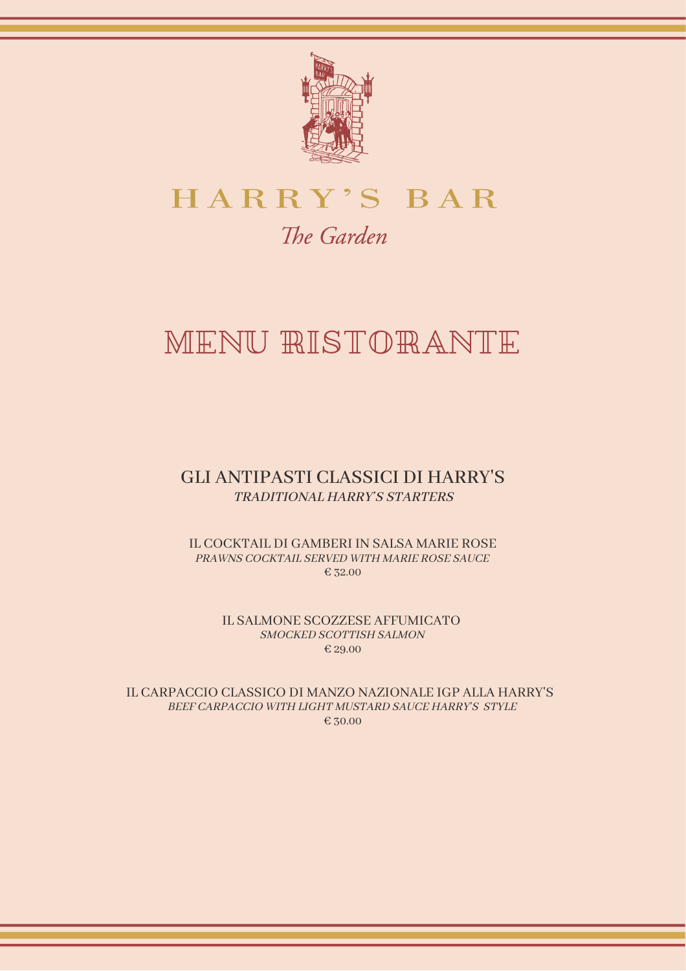

# HARRY'S BAR The Garden

# MENU RISTORANTE

# GLI ANTIPASTI CLASSICI DI HARRY'S TRADITIONAL HARRY'S STARTERS

IL COCKTAIL DI GAMBERI IN SALSA MARIE ROSE PRAWNS COCKTAIL SERVED WITH MARIE ROSE SAUCE € 32.00

> IL SALMONE SCOZZESE AFFUMICATO SMOCKED SCOTTISH SALMON € 29.00

IL CARPACCIO CLASSICO DI MANZO NAZIONALE IGP ALLA HARRY'S BEEF CARPACCIO WITH LIGHT MUSTARD SAUCE HARRY'S STYLE € 30.00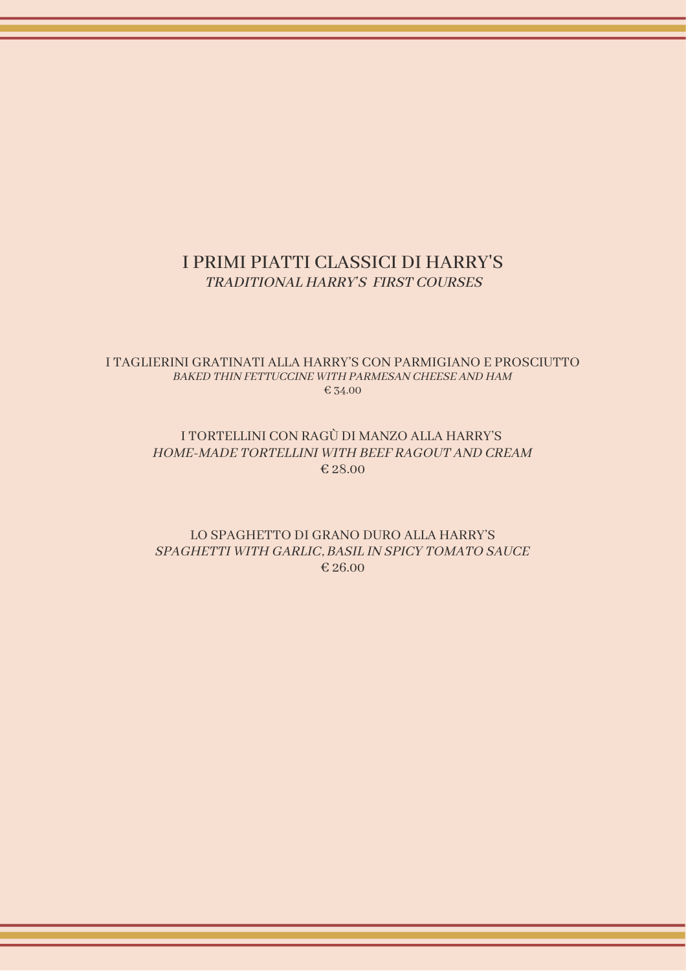# I PRIMI PIATTI CLASSICI DI HARRY'S TRADITIONAL HARRY'S FIRST COURSES

#### I TAGLIERINI GRATINATI ALLA HARRY'S CON PARMIGIANO E PROSCIUTTO BAKED THIN FETTUCCINE WITH PARMESAN CHEESE AND HAM € 34.00

#### I TORTELLINI CON RAGÙ DI MANZO ALLA HARRY'S HOME-MADE TORTELLINI WITH BEEF RAGOUT AND CREAM € 28.00

#### LO SPAGHETTO DI GRANO DURO ALLA HARRY'S SPAGHETTI WITH GARLIC, BASIL IN SPICY TOMATO SAUCE € 26.00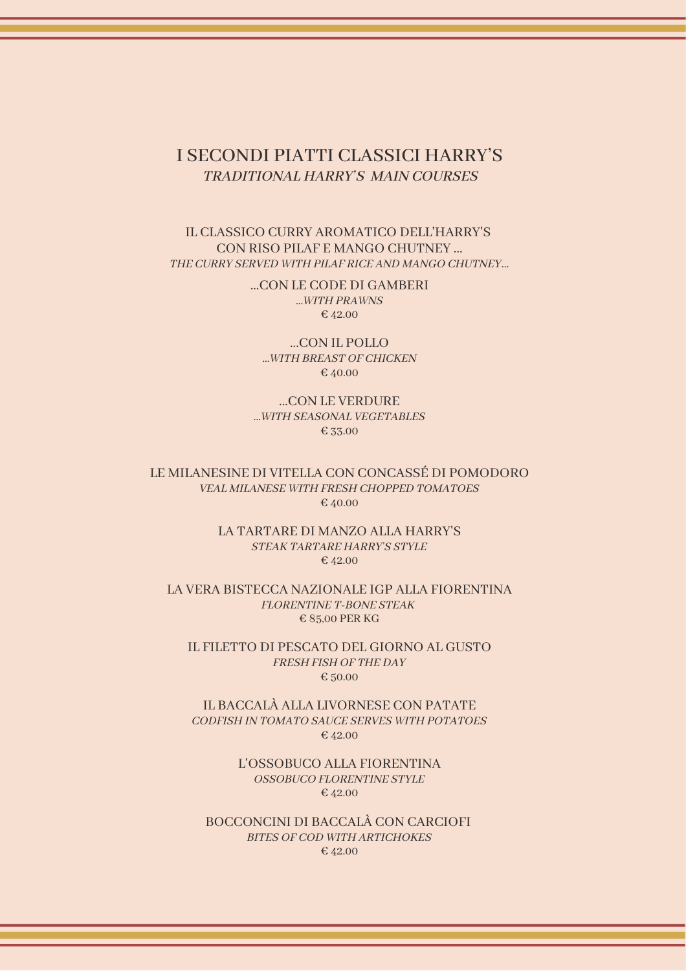### I SECONDI PIATTI CLASSICI HARRY'S TRADITIONAL HARRY'S MAIN COURSES

#### IL CLASSICO CURRY AROMATICO DELL'HARRY'S CON RISO PILAF E MANGO CHUTNEY ... THE CURRY SERVED WITH PILAF RICE AND MANGO CHUTNEY...

...CON LE CODE DI GAMBERI ...WITH PRAWNS € 42.00

...CON IL POLLO ...WITH BREAST OF CHICKEN € 40.00

...CON LE VERDURE ...WITH SEASONAL VEGETABLES € 33.00

LE MILANESINE DI VITELLA CON CONCASSÉ DI POMODORO VEAL MILANESE WITH FRESH CHOPPED TOMATOES € 40.00

> LA TARTARE DI MANZO ALLA HARRY'S STEAK TARTARE HARRY'S STYLE € 42.00

LA VERA BISTECCA NAZIONALE IGP ALLA FIORENTINA FLORENTINE T-BONE STEAK € 85,00 PER KG

IL FILETTO DI PESCATO DEL GIORNO AL GUSTO FRESH FISH OF THE DAY € 50.00

IL BACCALÀ ALLA LIVORNESE CON PATATE CODFISH IN TOMATO SAUCE SERVES WITH POTATOES € 42.00

> L'OSSOBUCO ALLA FIORENTINA OSSOBUCO FLORENTINE STYLE € 42.00

BOCCONCINI DI BACCALÀ CON CARCIOFI BITES OF COD WITH ARTICHOKES € 42.00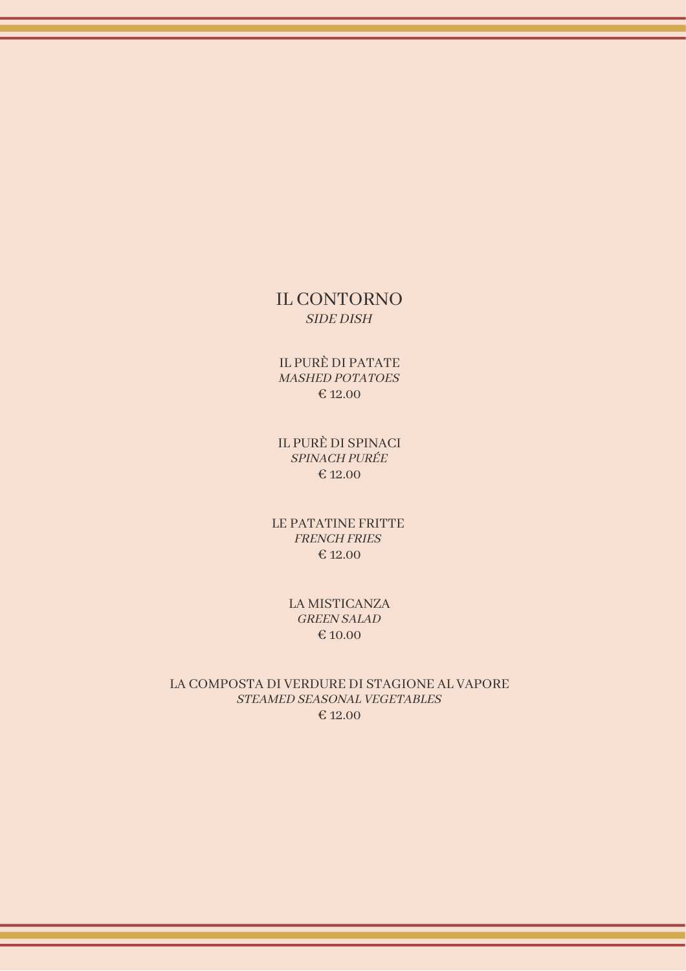### IL CONTORNO SIDE DISH

IL PURÈ DI PATATE MASHED POTATOES € 12.00

IL PURÈ DI SPINACI SPINACH PURÉE € 12.00

LE PATATINE FRITTE FRENCH FRIES € 12.00

> LA MISTICANZA GREEN SALAD € 10.00

LA COMPOSTA DI VERDURE DI STAGIONE AL VAPORE STEAMED SEASONAL VEGETABLES € 12.00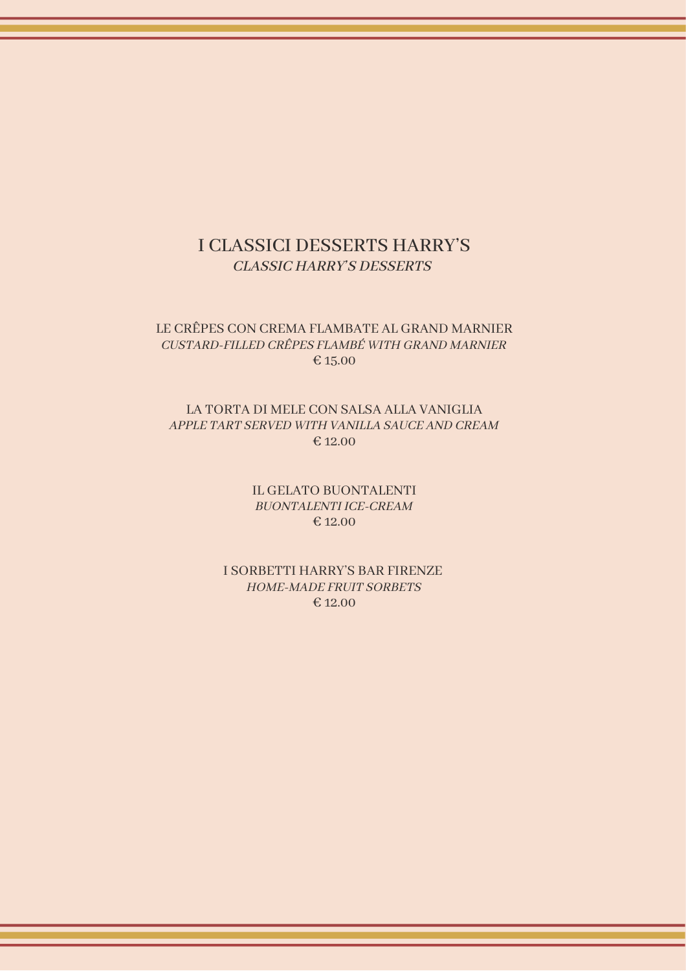### I CLASSICI DESSERTS HARRY'S CLASSIC HARRY'S DESSERTS

#### LE CRÊPES CON CREMA FLAMBATE AL GRAND MARNIER CUSTARD-FILLED CRÊPES FLAMBÉ WITH GRAND MARNIER € 15.00

#### LA TORTA DI MELE CON SALSA ALLA VANIGLIA APPLE TART SERVED WITH VANILLA SAUCE AND CREAM € 12.00

IL GELATO BUONTALENTI BUONTALENTI ICE-CREAM € 12.00

I SORBETTI HARRY'S BAR FIRENZE HOME-MADE FRUIT SORBETS  $€ 12.00$